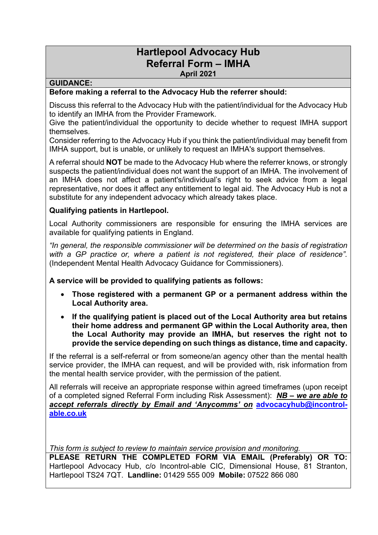## **Hartlepool Advocacy Hub Referral Form – IMHA April 2021**

## **GUIDANCE:**

## **Before making a referral to the Advocacy Hub the referrer should:**

Discuss this referral to the Advocacy Hub with the patient/individual for the Advocacy Hub to identify an IMHA from the Provider Framework.

Give the patient/individual the opportunity to decide whether to request IMHA support themselves.

Consider referring to the Advocacy Hub if you think the patient/individual may benefit from IMHA support, but is unable, or unlikely to request an IMHA's support themselves.

A referral should **NOT** be made to the Advocacy Hub where the referrer knows, or strongly suspects the patient/individual does not want the support of an IMHA. The involvement of an IMHA does not affect a patient's/individual's right to seek advice from a legal representative, nor does it affect any entitlement to legal aid. The Advocacy Hub is not a substitute for any independent advocacy which already takes place.

## **Qualifying patients in Hartlepool.**

Local Authority commissioners are responsible for ensuring the IMHA services are available for qualifying patients in England.

*"In general, the responsible commissioner will be determined on the basis of registration with a GP practice or, where a patient is not registered, their place of residence".* (Independent Mental Health Advocacy Guidance for Commissioners).

**A service will be provided to qualifying patients as follows:**

- **Those registered with a permanent GP or a permanent address within the Local Authority area.**
- **If the qualifying patient is placed out of the Local Authority area but retains their home address and permanent GP within the Local Authority area, then the Local Authority may provide an IMHA, but reserves the right not to provide the service depending on such things as distance, time and capacity.**

If the referral is a self-referral or from someone/an agency other than the mental health service provider, the IMHA can request, and will be provided with, risk information from the mental health service provider, with the permission of the patient.

All referrals will receive an appropriate response within agreed timeframes (upon receipt of a completed signed Referral Form including Risk Assessment): *NB – we are able to accept referrals directly by Email and 'Anycomms' on* **[advocacyhub@incontrol](mailto:advocacyhub@incontrol-able.co.uk)[able.co.uk](mailto:advocacyhub@incontrol-able.co.uk)**

*This form is subject to review to maintain service provision and monitoring.*

**PLEASE RETURN THE COMPLETED FORM VIA EMAIL (Preferably) OR TO:**  Hartlepool Advocacy Hub, c/o Incontrol-able CIC, Dimensional House, 81 Stranton, Hartlepool TS24 7QT. **Landline:** 01429 555 009 **Mobile:** 07522 866 080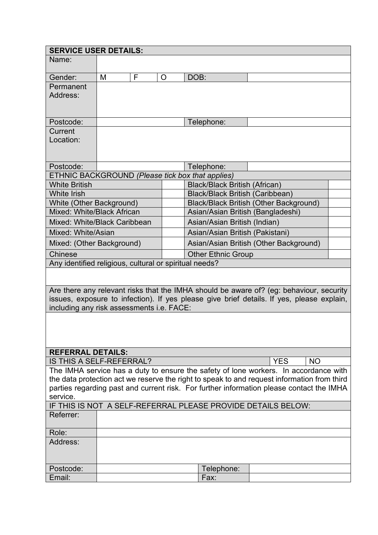| <b>SERVICE USER DETAILS:</b>                                                                |                                      |   |                                        |                                               |                                 |                                                                                         |  |  |  |  |
|---------------------------------------------------------------------------------------------|--------------------------------------|---|----------------------------------------|-----------------------------------------------|---------------------------------|-----------------------------------------------------------------------------------------|--|--|--|--|
| Name:                                                                                       |                                      |   |                                        |                                               |                                 |                                                                                         |  |  |  |  |
| Gender:                                                                                     | M                                    | F | $\circ$                                | DOB:                                          |                                 |                                                                                         |  |  |  |  |
| Permanent<br>Address:                                                                       |                                      |   |                                        |                                               |                                 |                                                                                         |  |  |  |  |
| Postcode:                                                                                   |                                      |   |                                        |                                               | Telephone:                      |                                                                                         |  |  |  |  |
| Current<br>Location:                                                                        |                                      |   |                                        |                                               |                                 |                                                                                         |  |  |  |  |
| Postcode:                                                                                   |                                      |   |                                        |                                               | Telephone:                      |                                                                                         |  |  |  |  |
| ETHNIC BACKGROUND (Please tick box that applies)                                            |                                      |   |                                        |                                               |                                 |                                                                                         |  |  |  |  |
| <b>White British</b>                                                                        | <b>Black/Black British (African)</b> |   |                                        |                                               |                                 |                                                                                         |  |  |  |  |
| <b>White Irish</b>                                                                          |                                      |   |                                        |                                               | Black/Black British (Caribbean) |                                                                                         |  |  |  |  |
| White (Other Background)                                                                    |                                      |   |                                        | <b>Black/Black British (Other Background)</b> |                                 |                                                                                         |  |  |  |  |
| Mixed: White/Black African                                                                  |                                      |   |                                        | Asian/Asian British (Bangladeshi)             |                                 |                                                                                         |  |  |  |  |
| Mixed: White/Black Caribbean                                                                |                                      |   |                                        | Asian/Asian British (Indian)                  |                                 |                                                                                         |  |  |  |  |
| Mixed: White/Asian                                                                          |                                      |   |                                        | Asian/Asian British (Pakistani)               |                                 |                                                                                         |  |  |  |  |
| Mixed: (Other Background)                                                                   |                                      |   | Asian/Asian British (Other Background) |                                               |                                 |                                                                                         |  |  |  |  |
| Chinese                                                                                     |                                      |   |                                        | <b>Other Ethnic Group</b>                     |                                 |                                                                                         |  |  |  |  |
| Any identified religious, cultural or spiritual needs?                                      |                                      |   |                                        |                                               |                                 |                                                                                         |  |  |  |  |
|                                                                                             |                                      |   |                                        |                                               |                                 |                                                                                         |  |  |  |  |
|                                                                                             |                                      |   |                                        |                                               |                                 | Are there any relevant risks that the IMHA should be aware of? (eg: behaviour, security |  |  |  |  |
| issues, exposure to infection). If yes please give brief details. If yes, please explain,   |                                      |   |                                        |                                               |                                 |                                                                                         |  |  |  |  |
| including any risk assessments i.e. FACE:                                                   |                                      |   |                                        |                                               |                                 |                                                                                         |  |  |  |  |
| <b>REFERRAL DETAILS:</b>                                                                    |                                      |   |                                        |                                               |                                 |                                                                                         |  |  |  |  |
| <b>YES</b><br><b>IS THIS A SELF-REFERRAL?</b><br><b>NO</b>                                  |                                      |   |                                        |                                               |                                 |                                                                                         |  |  |  |  |
| The IMHA service has a duty to ensure the safety of lone workers. In accordance with        |                                      |   |                                        |                                               |                                 |                                                                                         |  |  |  |  |
| the data protection act we reserve the right to speak to and request information from third |                                      |   |                                        |                                               |                                 |                                                                                         |  |  |  |  |
| parties regarding past and current risk. For further information please contact the IMHA    |                                      |   |                                        |                                               |                                 |                                                                                         |  |  |  |  |
| service.<br>IF THIS IS NOT A SELF-REFERRAL PLEASE PROVIDE DETAILS BELOW:                    |                                      |   |                                        |                                               |                                 |                                                                                         |  |  |  |  |
| Referrer:                                                                                   |                                      |   |                                        |                                               |                                 |                                                                                         |  |  |  |  |
| Role:                                                                                       |                                      |   |                                        |                                               |                                 |                                                                                         |  |  |  |  |
| Address:                                                                                    |                                      |   |                                        |                                               |                                 |                                                                                         |  |  |  |  |
|                                                                                             |                                      |   |                                        |                                               |                                 |                                                                                         |  |  |  |  |
| Postcode:                                                                                   |                                      |   |                                        |                                               | Telephone:                      |                                                                                         |  |  |  |  |
| Email:                                                                                      |                                      |   |                                        |                                               | Fax:                            |                                                                                         |  |  |  |  |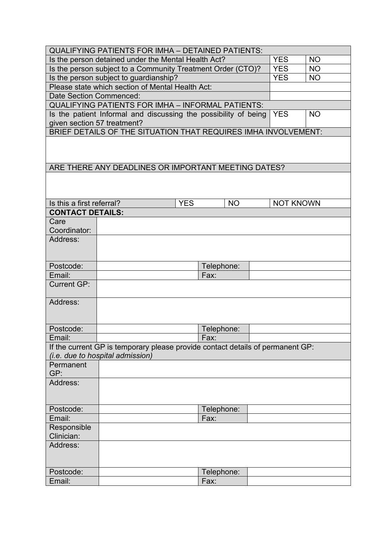| <b>QUALIFYING PATIENTS FOR IMHA - DETAINED PATIENTS:</b>                                   |            |            |            |           |  |                  |           |  |  |
|--------------------------------------------------------------------------------------------|------------|------------|------------|-----------|--|------------------|-----------|--|--|
| Is the person detained under the Mental Health Act?                                        |            |            |            |           |  | <b>YES</b>       | <b>NO</b> |  |  |
| Is the person subject to a Community Treatment Order (CTO)?                                |            |            |            |           |  | <b>YES</b>       | <b>NO</b> |  |  |
| Is the person subject to guardianship?                                                     |            |            |            |           |  | <b>YES</b>       | <b>NO</b> |  |  |
| Please state which section of Mental Health Act:                                           |            |            |            |           |  |                  |           |  |  |
| Date Section Commenced:                                                                    |            |            |            |           |  |                  |           |  |  |
| <b>QUALIFYING PATIENTS FOR IMHA - INFORMAL PATIENTS:</b>                                   |            |            |            |           |  |                  |           |  |  |
| Is the patient Informal and discussing the possibility of being<br><b>YES</b><br><b>NO</b> |            |            |            |           |  |                  |           |  |  |
| given section 57 treatment?                                                                |            |            |            |           |  |                  |           |  |  |
| BRIEF DETAILS OF THE SITUATION THAT REQUIRES IMHA INVOLVEMENT:                             |            |            |            |           |  |                  |           |  |  |
| ARE THERE ANY DEADLINES OR IMPORTANT MEETING DATES?                                        |            |            |            |           |  |                  |           |  |  |
|                                                                                            |            |            |            |           |  |                  |           |  |  |
| Is this a first referral?                                                                  |            | <b>YES</b> |            | <b>NO</b> |  | <b>NOT KNOWN</b> |           |  |  |
| <b>CONTACT DETAILS:</b>                                                                    |            |            |            |           |  |                  |           |  |  |
| Care                                                                                       |            |            |            |           |  |                  |           |  |  |
| Coordinator:                                                                               |            |            |            |           |  |                  |           |  |  |
| Address:                                                                                   |            |            |            |           |  |                  |           |  |  |
|                                                                                            |            |            |            |           |  |                  |           |  |  |
|                                                                                            |            |            |            |           |  |                  |           |  |  |
| Postcode:                                                                                  |            |            | Telephone: |           |  |                  |           |  |  |
| Email:                                                                                     | Fax:       |            |            |           |  |                  |           |  |  |
| <b>Current GP:</b>                                                                         |            |            |            |           |  |                  |           |  |  |
| Address:                                                                                   |            |            |            |           |  |                  |           |  |  |
|                                                                                            |            |            |            |           |  |                  |           |  |  |
| Postcode:                                                                                  | Telephone: |            |            |           |  |                  |           |  |  |
| Email:                                                                                     | Fax:       |            |            |           |  |                  |           |  |  |
| If the current GP is temporary please provide contact details of permanent GP:             |            |            |            |           |  |                  |           |  |  |
| <i>(i.e. due to hospital admission)</i>                                                    |            |            |            |           |  |                  |           |  |  |
| Permanent                                                                                  |            |            |            |           |  |                  |           |  |  |
| GP:                                                                                        |            |            |            |           |  |                  |           |  |  |
| Address:                                                                                   |            |            |            |           |  |                  |           |  |  |
|                                                                                            |            |            |            |           |  |                  |           |  |  |
|                                                                                            |            |            |            |           |  |                  |           |  |  |
| Postcode:                                                                                  |            |            | Telephone: |           |  |                  |           |  |  |
| Email:                                                                                     |            |            | Fax:       |           |  |                  |           |  |  |
| Responsible                                                                                |            |            |            |           |  |                  |           |  |  |
| Clinician:                                                                                 |            |            |            |           |  |                  |           |  |  |
| Address:                                                                                   |            |            |            |           |  |                  |           |  |  |
|                                                                                            |            |            |            |           |  |                  |           |  |  |
|                                                                                            |            |            |            |           |  |                  |           |  |  |
| Postcode:                                                                                  |            |            | Telephone: |           |  |                  |           |  |  |
| Email:                                                                                     |            |            | Fax:       |           |  |                  |           |  |  |